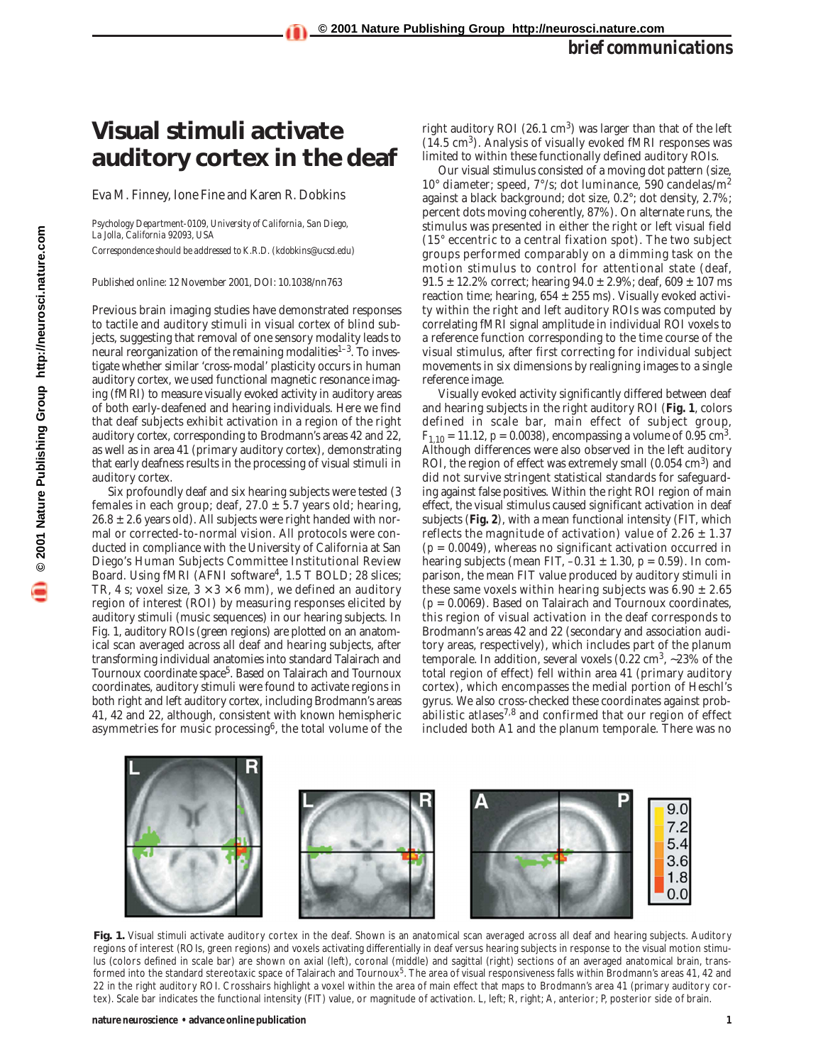## **Visual stimuli activate auditory cortex in the deaf**

Eva M. Finney, Ione Fine and Karen R. Dobkins

*Psychology Department-0109, University of California, San Diego, La Jolla, California 92093, USA*

*Correspondence should be addressed to K.R.D. (kdobkins@ucsd.edu)*

Published online: 12 November 2001, DOI: 10.1038/nn763

Previous brain imaging studies have demonstrated responses to tactile and auditory stimuli in visual cortex of blind subjects, suggesting that removal of one sensory modality leads to neural reorganization of the remaining modalities $1-3$ . To investigate whether similar 'cross-modal' plasticity occurs in human auditory cortex, we used functional magnetic resonance imaging (fMRI) to measure visually evoked activity in auditory areas of both early-deafened and hearing individuals. Here we find that deaf subjects exhibit activation in a region of the right auditory cortex, corresponding to Brodmann's areas 42 and 22, as well as in area 41 (primary auditory cortex), demonstrating that early deafness results in the processing of visual stimuli in auditory cortex.

Six profoundly deaf and six hearing subjects were tested (3 females in each group; deaf,  $27.0 \pm 5.7$  years old; hearing,  $26.8 \pm 2.6$  years old). All subjects were right handed with normal or corrected-to-normal vision. All protocols were conducted in compliance with the University of California at San Diego's Human Subjects Committee Institutional Review Board. Using fMRI (AFNI software<sup>4</sup>, 1.5 T BOLD; 28 slices; TR, 4 s; voxel size,  $3 \times 3 \times 6$  mm), we defined an auditory region of interest (ROI) by measuring responses elicited by auditory stimuli (music sequences) in our hearing subjects. In Fig. 1, auditory ROIs (green regions) are plotted on an anatomical scan averaged across all deaf and hearing subjects, after transforming individual anatomies into standard Talairach and Tournoux coordinate space<sup>5</sup>. Based on Talairach and Tournoux coordinates, auditory stimuli were found to activate regions in both right and left auditory cortex, including Brodmann's areas 41, 42 and 22, although, consistent with known hemispheric asymmetries for music processing6, the total volume of the right auditory ROI (26.1  $\text{cm}^3$ ) was larger than that of the left (14.5 cm3). Analysis of visually evoked fMRI responses was limited to within these functionally defined auditory ROIs.

Our visual stimulus consisted of a moving dot pattern (size, 10° diameter; speed, 7°/s; dot luminance, 590 candelas/m<sup>2</sup> against a black background; dot size, 0.2°; dot density, 2.7%; percent dots moving coherently, 87%). On alternate runs, the stimulus was presented in either the right or left visual field (15° eccentric to a central fixation spot). The two subject groups performed comparably on a dimming task on the motion stimulus to control for attentional state (deaf,  $91.5 \pm 12.2\%$  correct; hearing  $94.0 \pm 2.9\%$ ; deaf,  $609 \pm 107$  ms reaction time; hearing,  $654 \pm 255$  ms). Visually evoked activity within the right and left auditory ROIs was computed by correlating fMRI signal amplitude in individual ROI voxels to a reference function corresponding to the time course of the visual stimulus, after first correcting for individual subject movements in six dimensions by realigning images to a single reference image.

Visually evoked activity significantly differed between deaf and hearing subjects in the right auditory ROI (**Fig. 1**, colors defined in scale bar, main effect of subject group,  $F_{1,10} = 11.12$ ,  $p = 0.0038$ ), encompassing a volume of 0.95 cm<sup>3</sup>. Although differences were also observed in the left auditory ROI, the region of effect was extremely small  $(0.054 \text{ cm}^3)$  and did not survive stringent statistical standards for safeguarding against false positives. Within the right ROI region of main effect, the visual stimulus caused significant activation in deaf subjects (**Fig. 2**), with a mean functional intensity (FIT, which reflects the magnitude of activation) value of  $2.26 \pm 1.37$ (*p* = 0.0049), whereas no significant activation occurred in hearing subjects (mean FIT,  $-0.31 \pm 1.30$ ,  $p = 0.59$ ). In comparison, the mean FIT value produced by auditory stimuli in these same voxels within hearing subjects was  $6.90 \pm 2.65$ (*p* = 0.0069). Based on Talairach and Tournoux coordinates, this region of visual activation in the deaf corresponds to Brodmann's areas 42 and 22 (secondary and association auditory areas, respectively), which includes part of the planum temporale. In addition, several voxels (0.22 cm<sup>3</sup>, ~23% of the total region of effect) fell within area 41 (primary auditory cortex), which encompasses the medial portion of Heschl's gyrus. We also cross-checked these coordinates against probabilistic atlases $^{7,8}$  and confirmed that our region of effect included both A1 and the planum temporale. There was no



**Fig. 1.** Visual stimuli activate auditory cortex in the deaf. Shown is an anatomical scan averaged across all deaf and hearing subjects. Auditory regions of interest (ROIs, green regions) and voxels activating differentially in deaf versus hearing subjects in response to the visual motion stimulus (colors defined in scale bar) are shown on axial (left), coronal (middle) and sagittal (right) sections of an averaged anatomical brain, transformed into the standard stereotaxic space of Talairach and Tournoux<sup>5</sup>. The area of visual responsiveness falls within Brodmann's areas 41, 42 and 22 in the right auditory ROI. Crosshairs highlight a voxel within the area of main effect that maps to Brodmann's area 41 (primary auditory cortex). Scale bar indicates the functional intensity (FIT) value, or magnitude of activation. L, left; R, right; A, anterior; P, posterior side of brain.